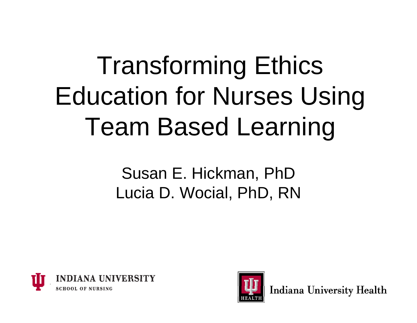### Transforming Ethics Education for Nurses Using Team Based Learning

Susan E. Hickman, PhD Lucia D. Wocial, PhD, RN





**Indiana University Health**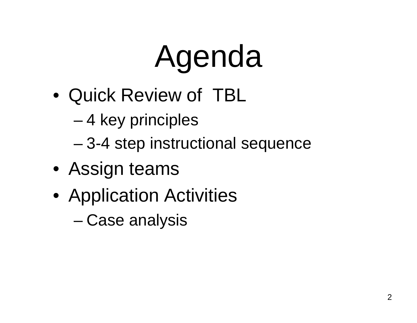# Agenda

- Quick Review of TBL
	- 4 key principles
	- 3-4 step instructional sequence
- Assign teams
- Application Activities
	- –Case analysis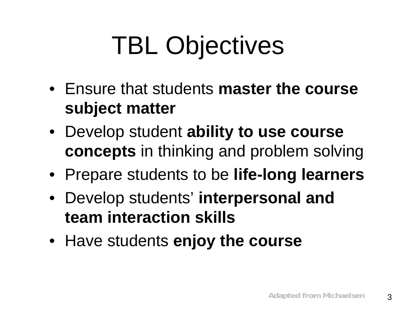### TBL Objectives

- **Ensure that students master the course subject matter**
- Develop student **ability to use course concepts** in thinking and problem solving
- Prepare students to be **life-long learners**
- **•** Develop students' **interpersonal** and **team interaction skills**
- Have students **enjoy the course**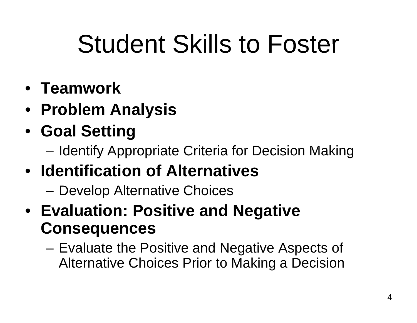### Student Skills to Foster

- **T k eamwor**
- **Problem Analysis**
- **Goal Setting**
	- –Identify Appropriate Criteria for Decision Making
- **Identification of Alternatives**
	- –Develop Alternative Choices
- **Evaluation: Positive and Negative Consequences**
	- – Evaluate the Positive and Negative Aspects of Alternative Choices Prior to Making a Decision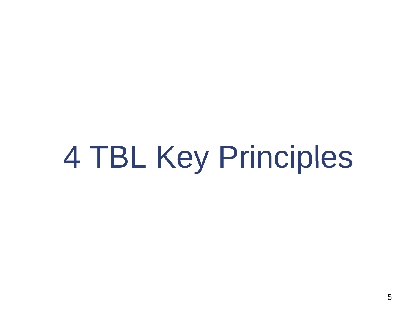4 TBL Key Principles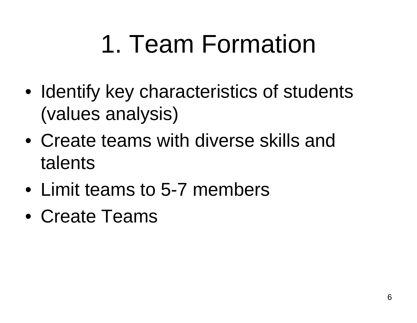#### 1. Team Formation

- Identify key characteristics of students (values analysis)
- Create teams with diverse skills and talents
- Limit teams to 5-7 members
- Create Teams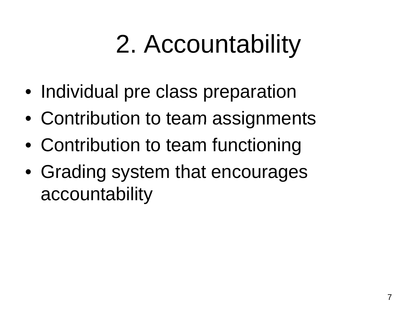### 2. Accountability

- Individual pre class preparation
- Contribution to team assignments
- Contribution to team functioning
- Grading system that encourages accountability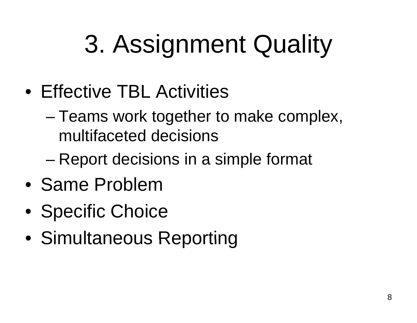### 3. Assignment Quality

- Effective TBL Activities
	- Teams work together to make complex, multifaceted decisions
	- – $-$  Report decisions in a simple format
- Same Problem
- Specific Choice
- Simultaneous Reporting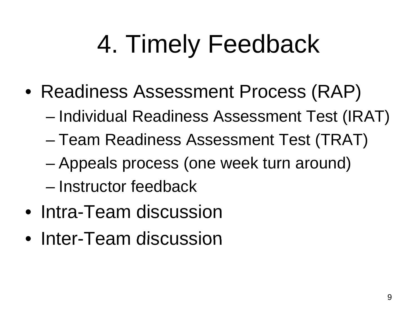### 4. Timely Feedback

- Readiness Assessment Process (RAP)
	- Individual Readiness Assessment Test (IRAT)
	- –Team Readiness Assessment Test (TRAT)
	- –– Appeals process (one week turn around)
	- Instructor feedback
- Intra-Team discussion
- Inter-Team discussion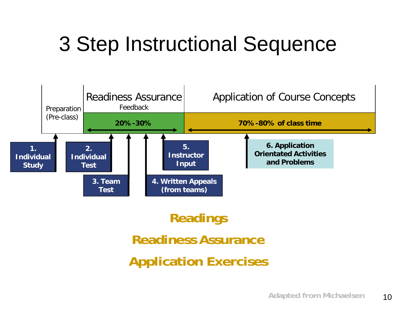#### 3 Step Instructional Sequence



#### **Readings Readiness AssuranceApplication Exercises**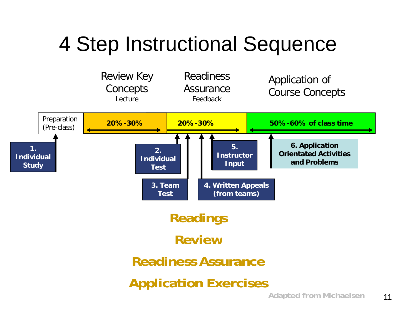#### 4 Step Instructional Sequence

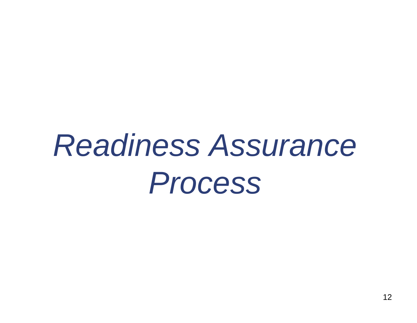### *Readiness Assurance Process*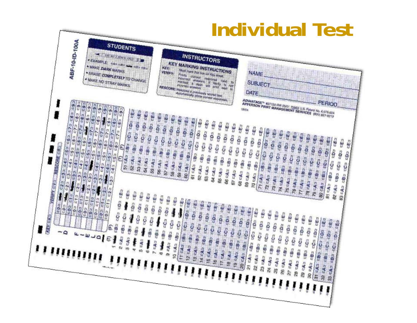#### **Individual TestABF-10-ID-100A STUDENTS** TO AS ENTERED TO **INSTRUCTORS "EXAMPLE! KEY MARKING INSTRUCTIONS** · MAKE DARK MARKS Mail mas the car dn Asy TRUCTIONS<br>
Thinks compatible of the state of the compatible<br>
modes and the state of the state of the state of the state of the state of the state of<br>
more streamed will print the state of<br>
Financial **KEY: \* ERASE COMPLETELY TO CHANGE** VERREY-**NAME** MAKE NO STRAY MARKS **SUBJECT** RESCORE: Processes a previously board Jest<br>Automatically prints a previously board Jest<br>Automatically prints conservations 僧 DATE **ADVANTAGE - E27130 RR 0501 75853 U.S. PARK No. 6.078 RR 0606**<br>APPERSON PRINT MANAGEMENT SERVICES (800) 827-9213 PERIOD 5) 543 483 675 695 695<br>52 43 683 776 695 695<br>52 43 683 776 ನೇಡು ಇತ್ತಿದೆ ಇರು ಚಿತ್ರ<br>ಟಿ ಡಿ ಇಂ ಡಿ ಇಂ ಡಿ ಇಟ ನು ಸಿದಿ ಮಾಡಿದ್ದಾರೆ.<br>ಸಿಲ್ಲಿ ಮಾಡಿದ್ದಾರೆ.<br>ಸಿಲ್ಲಿ ಸ್ಟ್ರಾಮ್ ಡೀಸು ಪ್ರಾಂಪ್ ರಾಡು<br>55 ಸುಡಿ ಪ್ರಾಂಪ್ ರಾಡು ಕಿಕ ಸುದ್ದಿ ಇದು ಇದು ಇಂತಿ<br>ಕಾರ್ಯ ಪಕ್ಷಾ ಇದು ಪರಿಸಿ ಇತ್ತು ಡಿಯ ಪುರ್ಯಲ್ ಮಾಡ್ತು<br>ಕೌರ್ಯಿ ಪುರ್ಯಲ್ ಮಾಡ್ತು 37 CA3 CB3 CD3 CD3 CB3<br>58 CA3 CB3 CD3 CD3 CB3<br>58 CA3 CB3 cC 38 CA3 CB3 CD3 CB3<br>39 CA3 CB3 CD3 CB3<br>39 CA3 CB3 CO 39 EA 3 EB3 EC3 ED3 EA<br>50 EA 3 EB3 EC3 ED3 EA<br>50 EA 3 EB3 CO3 EC3 ನಿಂದು ಮಾದ್ರ ರಾಮಾಡ<br>ನಿಂದು ರಾಮಾಡುವುದು<br>ನಿಂದು ಸ್ಟ್ರಾಂಡಿ external control design<br>En control de control<br>En control de control de control ಹೆಯ ಕಾಣ ಅಶ್ವ<br>ಹೆಯ ಕಾಣ ಮಾಡು<br>ಹೆಯಿ ಆಗ 66 ಯ ಇತ್ತಿದ್ದಾರೆ.<br>67 ಯ ಇತ್ತಿದ್ದು ಪೊಂದಿ<br>67 ಯ ಇತ್ತಿ ಕ್ಷ್ಮಿ ಸ್ನಾಮಿ ಸ್ನೇಹಿತ ಸ್ವಾಮಿ<br>ಕ್ಷ್ಮಿ ಸ್ನೇಹಿತ ಸ್ವಾಮಿ ಸ್ವಾಮಿ ಸ್ವಾಮಿ<br>ಕ್ಷ್ಮಿ ಸ್ನೇಹಿತ ಸ್ವಾಮಿ ಸ್ವಾಮಿ ಸ್ವಾಮಿ 98 ರಷಿ ಇತ್ತಿದೆ. ಇದು ಪರಿಸ್ಥಾನ<br>99 ರಷಿ ಇತ್ತು ಪ್ರಧಾ ಪ್ರಶ ತಿಳಿತು ಮಾತ್ರದ ರಾಜ್ಯ<br>ಪ್ರತಿಭಾಷ್ಟಾ ಮಾತ್ರ<br>ಪ್ರತಿಭಾಷ್ ಗಳು ಪ್ರಾಸ್ತುವ ಪ್ರಾಸ್ತ<br>ಸಭಾವಾಸ್ತುವ ಪ್ರಾಸ್ತುವ ಪ್ರಾಸ 71 543 583 503 503 585<br>72 543 585 503 503 585 ನೀಡಿ ಇನ್ ಇಂ ಕೂ ಚಿತ್ರ<br>ಸಿ ಇಂ ಇಂ ಕೂ ಚಿತ್ರ<br>ಸಿ ಇಂ ಇಂ ಎಂ ಕೂ ಗಳಲ್ಲಿ ಮತ್ತು ಮತ್ತು ಮತ್ತು ಸ್ವ<br>ಸ್ವತ್ತು ಮತ್ತು ಮತ್ತು ಮತ್ತು ಸ್ವತ್ತು<br>ಸ್ವತ್ತು ಮತ್ತು ಮತ್ತು ಮತ್ತು ಮತ್ತು ಸ್ವತ್ತು  $\begin{array}{l} \mathcal{H}(\mathbb{A}_2) \xrightarrow{\mathbb{B}_2} \mathcal{L}(\mathbb{C}_2) \xrightarrow{\mathbb{C}_3} \mathcal{L}(\mathbb{C}_3) \\ \mathcal{H}(\mathbb{A}_2) \xrightarrow{\mathbb{C}_3} \mathcal{L}(\mathbb{C}_3) \xrightarrow{\mathbb{C}_4} \mathcal{L}(\mathbb{C}_3) \end{array}$  $77$  cAs the CG cDs cEs<br> $78$  cAs the CG cOs cEs 78 CA3 CB3 CD3 CB3<br>78 CA3 CB3 CD3 CB3<br>78 CA3 CB3 CD3 CB3 ಕಿಲಿಯು ಪೂರ್ವ ಬಿಡಿ ಪೂರ್ವ<br>ಕೆಲಿಯೊ ಪೂರ್ವೊಬಿ<br>ಕೆಲಿಯೊ ಪೂರ್ವ 463 VERRY EVE RESCORE ERED EC 2 ED<sub>2</sub>  $\frac{D}{Q}$ 83 EA2 ਪੀਸ਼ ਦਾ ਹੋਰ ਵਿਸ਼<br>ਬੀਮ ਨਹੇ ਹੋਰ ਵਿਸ਼ ್ಲಿ ಎಂದು ಸ್ಟಾಂ<br>ಆರ್ಥಿ ಪ್ರಾಸ್ತಾರ  $\frac{12}{3}$  table  $\frac{12}{3}$  and  $\frac{12}{3}$  and  $\frac{12}{3}$  and  $\frac{12}{3}$  and  $\frac{12}{3}$  and  $\frac{12}{3}$  $\begin{array}{l} \mathcal{M} \text{ cA} \text{, } \text{ cB} \text{, } \text{ cC} \text{, } \text{ cD} \text{, } \text{ cE} \text{,} \\ \mathcal{M} \text{ cA} \text{, } \text{ cB} \text{, } \text{ cC} \text{, } \text{ cD} \text{, } \text{ cE} \text{,} \\ \mathcal{B} \text{ cA} \text{, } \text{ cB} \text{, } \text{ cB} \text{, } \text{ cE} \text{,} \end{array}$ ಗೆ ಸ್ಪೂರ್ಯ ಸ್ಪಾಂಗ್ ಮಾ ಸಕ್ತ<br>ಸಿ ಸ್ಪೂರ್ಣ ಸ್ಪೂರ್ಣ ಮಾ ಸಕ್ತ<br>ಸಿ ಸ್ಪೂರ್ಣ او تیم شده می شد.<br>از نفی شده می تیم تاج<br>قادر شده می  $\frac{19}{20}$   $\frac{9}{20}$   $\frac{19}{20}$   $\frac{19}{20}$   $\frac{19}{20}$   $\frac{19}{20}$   $\frac{19}{20}$   $\frac{19}{20}$ 22 c4a c3a c5a c5a c5a<br>23 c4a c5a c5a c5a<br>23 c4a c6a ಖಿಸುದು ಸೇರಿದಂದು.<br>ಸುಧಿ ಪ್ರಾಸ್ತ್ರಾಧಿ ಸಂಸ್ಥೆ ಸೀಸು ದಾರಾ ರಾಜ್<br>ಸೆಗು ದಾರ್ಯ ರಾಜ್<br>ಸೆಗು ಡಾ **REY EKE** ಸಿನ ಸಿನಿ ಪೂರ್ವ ಯಾವು<br>ಸಿನಿಸಿ ಪೂರ್ವ ಯಾವು 38 GA 2 GB GB GB CB<br>27 GA 2 GB GB GB GB<br>27 GA 2 GB GB GB GB 27 ಡಚಿ ಇತ್ತು ಇಲ್ಲಾ ರಾಜಕಾ<br>28 ಜೊ 20 ಮಾಡು<br>28 ಜೊ 20 ಸ್ 28 to 20 cm 32 cm 85<br>28 cm 32 cm 32<br>28 cm 32 cm ಶೀರ್ಷಿ ಮತ್ತು ಸಂಪೂರ್ಣ<br>ಶೀರ್ಷಿ ಮಾತ್ರ ಸಂಪೂರ್ಣ<br>ಶೀರ್ಷಿ ಸಂಪೂರ್ಣ 30 543 553 563 563 563<br>31 543 553 565 563 565<br>31 543 55  $\begin{array}{l} 37.43 \overline{)33.45} \overline{03.45} \overline{04.3} \overline{03.45} \\ 38.43 \overline{03.45} \overline{03.45} \overline{03.45} \\ 32.44 \overline{03.45} \overline{03.45} \end{array}$ 32 cA3 cB3 cC2 cD3 cB3<br>33 cA3 cB3 cC- cD3 cB3<br>33 cA3 cB3 cC- cD3 cB3 EB3  $3$  CA<sub>3</sub>  $-3$ ū, - 9  $10 - A = 6B 4 - 4 - 4$  $252$ E 4.444  $5 - A$  $\bullet$  $7$  tas 'III ŗ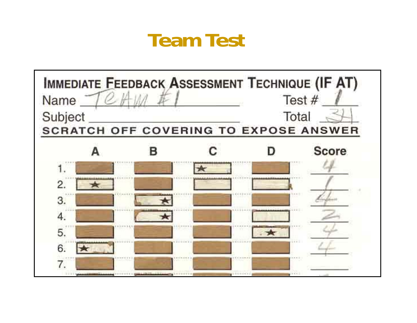#### **Team Test**

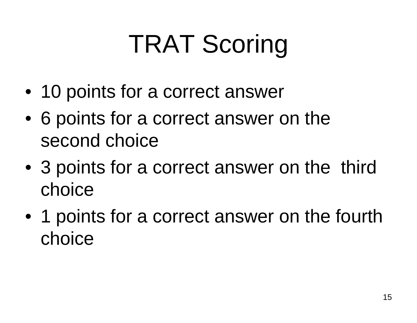### TRAT Scoring

- 10 points for a correct answer
- 6 points for a correct answer on the second choice
- 3 points for a correct answer on the third choice
- 1 points for a correct answer on the fourth choice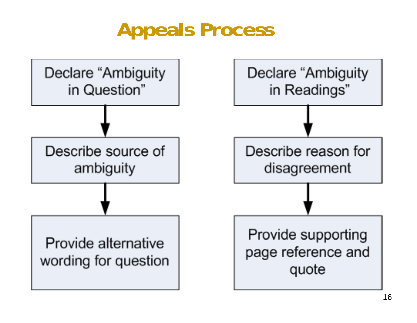#### **Appeals Process**

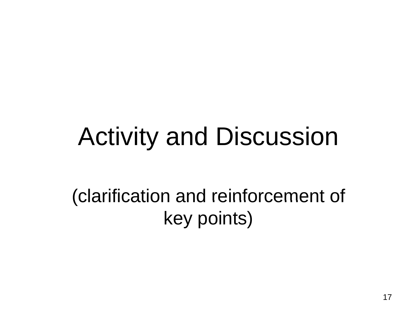#### Activity and Discussion

#### (clarification and reinforcement of key points)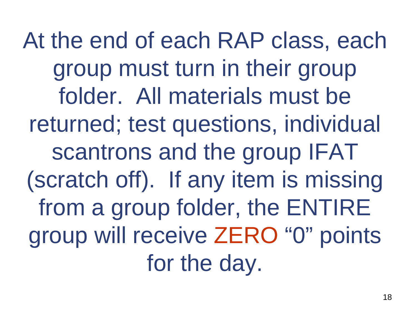At the end of each RAP class, each group must turn in their group folder. All materials must be returned; test questions, individual scantrons and the group IFAT (scratch off). If any item is missing from a group folder, the ENTIRE folder, the ENTIR group will receive ZERO " 0 " points for the day.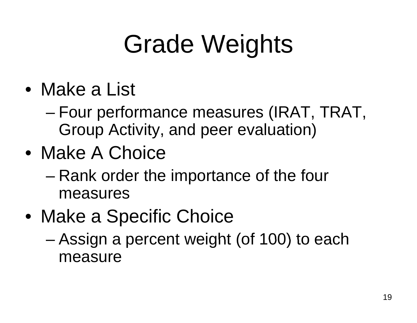### Grade Weights

- Make a List
	- – Four performance measures (IRAT, TRAT, Group Activity, and peer evaluation)
- Make A Choice
	- – Rank order the importance of the four measures
- Make a Specific Choice
	- –– Assign a percent weight (of 100) to each measure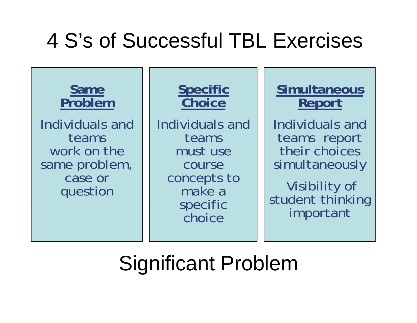#### 4 S's of Successful TBL Exercises



#### Significant Problem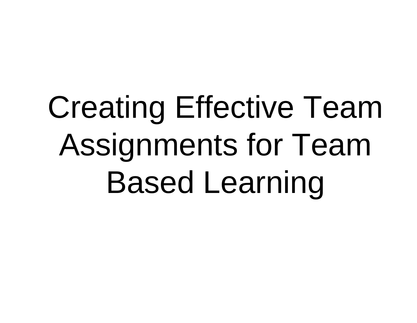# Creating Effective Team Assignments for Team Based Learning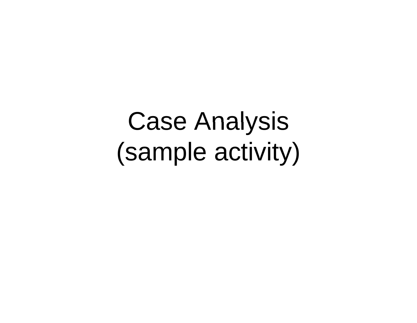Case Analysis (sample activity)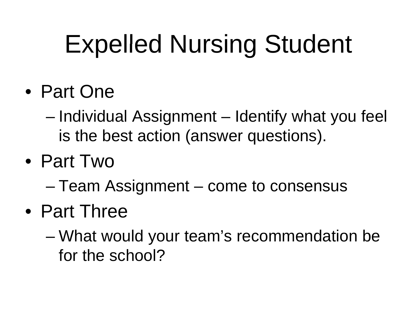### Expelled Nursing Student

- Part One
	- Individual Assi gnment – Identify what you feel is the best action (answer questions).
- Part Two
	- –Team Assignment – come to consensus
- Part Three
	- – $-$  What would your team's recommendation be for the school?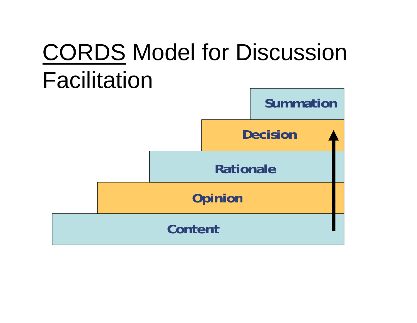#### **CORDS Model for Discussion** Facilitation